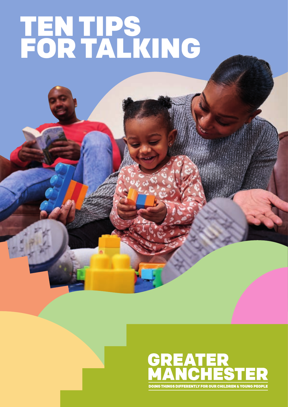# TEN TIPS FOR TALKING

## **GREATER<br>MANCHESTER** IGS DIFFERENTLY FOR OUR CHILDREN & YOUNG PEOPLI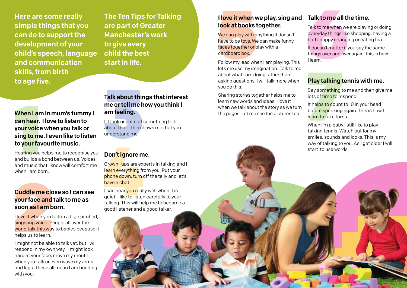## When I am<br>can hear.<br>your voice<br>sing to me<br>to your fay<br>Hearing you I<br>and builds a<br>and music th When I am in mum's tummy I can hear. I love to listen to your voice when you talk or sing to me. I even like to listen to your favourite music.

Hearing you helps me to recognise you and builds a bond between us. Voices and music that I know will comfort me when I am born.

**Cuddle me clo<br>your face and t<br>soon as I am b<br>I love it when you to<br>singsong voice. Pe<br>world talk this way<br>helps us to learn.<br>I might not be able** I love it when you talk in a high pitched. singsong voice. People all over the world talk this way to babies because it helps us to learn.

#### Cuddle me close so I can see your face and talk to me as soon as I am born.

## Talk about thin<br>me or tell me h<br>am feeling.<br>If I look or point at s<br>about that. This sh<br>understand me. Talk about things that interest me or tell me how you think I am feeling.

**Don't ignore m**<br>Grown -ups are explearn everything from<br>phone down, turn contacts and the same a chat.<br>I can hear you reall quiet. I like to lister talking. This will he good listener and a Grown -ups are experts in talking and I learn everything from you. Put your phone down, turn off the telly and let's have a chat.

I might not be able to talk yet, but I will respond in my own way. I might look hard at your face, move my mouth when you talk or even wave my arms and legs. These all mean I am bonding with you.

I can hear you really well when it is quiet. I like to listen carefully to your talking. This will help me to become a good listener and a good talker.

The Ten Tips for Talking are part of Greater Manchester's work to give every child the best start in life.

#### I love it when we play, sing and look at books together.

Here are some really simple things that you can do to support the development of your child's speech, language and communication skills, from birth to age five.

**I love it when we play, sing and Talk to me all the look at books together.**<br>
We can play with anything it doesn't everyday things like<br>
have to be toys. We can make funny bath, nappy changi<br>
faces together or play with a We can play with anything it doesn't have to be toys. We can make funny faces together or play with a cardboard box.

If I look or point at something talk about that. This shows me that you understand me.

#### Don't ignore me.

**Play talking t**<br>Say something to<br>lots of time to res<br>It helps to count<br>before speaking<br>learn to take turn<br>When I'm a baby<br>talking tennis. W It helps to count to 10 in your head before speaking again. This is how I learn to take turns.

Follow my lead when I am playing. This lets me use my imagination. Talk to me about what I am doing rather than asking questions. I will talk more when you do this.

Sharing stories together helps me to learn new words and ideas. I love it when we talk about the story as we turn the pages. Let me see the pictures too.

#### Talk to me all the time.

Talk to me when we are playing or doing everyday things like shopping, having a bath, nappy changing or eating tea.

It doesn't matter if you say the same things over and over again, this is how I learn.

#### Play talking tennis with me.

Say something to me and then give me lots of time to respond.

When I'm a baby I still like to play talking tennis. Watch out for my smiles, sounds and looks. This is my way of talking to you. As I get older I will start to use words.